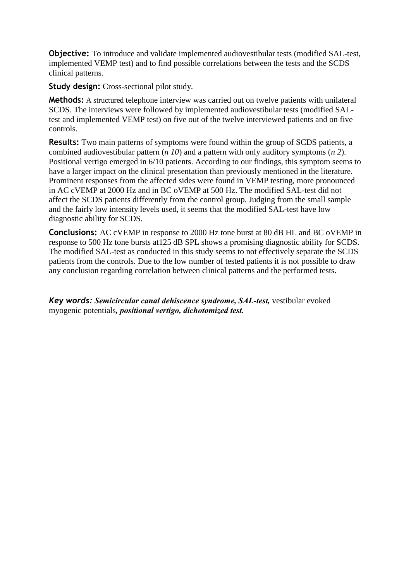**Objective:** To introduce and validate implemented audiovestibular tests (modified SAL-test, implemented VEMP test) and to find possible correlations between the tests and the SCDS clinical patterns.

**Study design:** Cross-sectional pilot study.

**Methods:** A structured telephone interview was carried out on twelve patients with unilateral SCDS. The interviews were followed by implemented audiovestibular tests (modified SALtest and implemented VEMP test) on five out of the twelve interviewed patients and on five controls.

**Results:** Two main patterns of symptoms were found within the group of SCDS patients, a combined audiovestibular pattern (*n 10*) and a pattern with only auditory symptoms (*n 2*). Positional vertigo emerged in 6/10 patients. According to our findings, this symptom seems to have a larger impact on the clinical presentation than previously mentioned in the literature. Prominent responses from the affected sides were found in VEMP testing, more pronounced in AC cVEMP at 2000 Hz and in BC oVEMP at 500 Hz. The modified SAL-test did not affect the SCDS patients differently from the control group. Judging from the small sample and the fairly low intensity levels used, it seems that the modified SAL-test have low diagnostic ability for SCDS.

**Conclusions:** AC cVEMP in response to 2000 Hz tone burst at 80 dB HL and BC oVEMP in response to 500 Hz tone bursts at125 dB SPL shows a promising diagnostic ability for SCDS. The modified SAL-test as conducted in this study seems to not effectively separate the SCDS patients from the controls. Due to the low number of tested patients it is not possible to draw any conclusion regarding correlation between clinical patterns and the performed tests.

*Key words: Semicircular canal dehiscence syndrome, SAL-test,* vestibular evoked myogenic potentials*, positional vertigo, dichotomized test.*